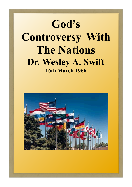# **God's Controversy With The Nations Dr. Wesley A. Swift 16th March 1966**

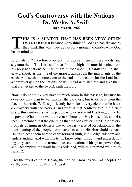#### **God's Controversy with the Nations Dr. Wesley A. Swift 16th March 1966**

God's Great Controversy With The Nations - Wesley Swift

**THIS IS A**<br> **THIS IS A**<br> **THIS IS A**<br>
they think<br>
has in mind to do. **HIS IS A SUBJECT THAT HAS BEEN VERY OFTEN OVERLOOKED** because many think of God as a pacifist and as they think this way, they do not for a moment consider what God

Jeremiah 25: "Therefore prophesy thou against them all these words, and say unto them, The Lord shall roar from on high and utter his voice from his holy habitation; he shall mightily roar upon his habitation, he shall give a shout, as they tread the grapes, against all the inhabitants of the earth. A nose shall come even to the ends of the earth; for the Lord hath a controversy with the nations, he will plead with all flesh and give them that are wicked to the sword, saith the Lord."

Now, I do not think you have to much room in this passage, because he does not only plan to war against the darkness, but to drive it from the face of the earth. Well, significantly he makes it very clear that he has a controversy with the nations, and what is that controversy? In the first place, this controversy is the people who do not want His Kingdom to be in power. Who do not want the establishment of His Household, and His race. Remember, that the one thing that the book we call the Bible covers, from its opening in Genesis one to the last verse of Revelations, is the transplanting of the people from heaven to earth. His Household as such, He has placed them here to carry forward truth, knowledge, wisdom and understanding. And with this truth, knowledge, wisdom and understanding they are to build a tremendous civilization, with great power they shall accomplish the work he has ordained, with this in mind we turn to Isaiah 2.

And the word came to Isaiah, the son of Amoz, as well as peoples of earth, concerning Judah and Jerusalem.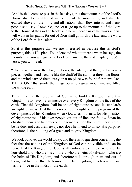"And is shall come to pass in the last days, that the mountain of the Lord's House shall be established in the top of the mountains, and shall be exalted above all the hills; and all nations shall flow into it, and many people shall say: Come Ye, and let us go up to the mountain of the Lord to the House of the God of Jacob; and he will teach us of his ways and we will walk in his paths; for out of Zion shall go forth the law, and the word of the Lord from Jerusalem

So it is this purpose that we are interested in because this is God's purpose, this is His plan. To understand what it means when he says, the mountain, if you will go to the Book of Daniel to the 2nd chapter, the 35th verse, you will read:

"Then was the iron, the clay, the brass, the silver, and the gold broken to pieces together, and became like the chaff of the summer threshing floors; and the wind carried them away, that no place was found for them: And, THE STONE that smote the image became a great mountain, and filled the whole earth.

Thus it is that the program of God is to build a Kingdom and this Kingdom is to have pre-eminence over every Kingdom on the face of the earth. That this kingdom shall be one of righteousness and its standards are righteousness. That there is no period thought out the program of the development of his Kingdom when God does not stand for His position of righteousness. If his own people get out of line and follow Satan he chastises them, and he pours out judgements upon them until they return, be he does not cast them away, nor does he intend to do so. His purpose, therefore, is the building of a great and mighty Kingdom.

We look out over the world today, and there is no question concerning the fact that the nations of the Kingdom of God can be visible and can be seen. That the Kingdom of God is all embracive, of those who are His household and who are his children, who are heirs of salvation, who are the heirs of His Kingdom, and therefore it is through them and out of them, and by them that He brings forth His Kingdom, which is a real and visible force in the midst of the earth.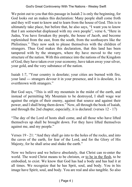We point out to you that this passage in Isaiah 2 is only the beginning, for God looks out an makes this declaration: Many people shall come froth and they will want to know and to learn from the house of God. This is to ultimately take place, but before that, he also says, "I want you to know that I am somewhat displeased with my own people", verse 6, "Here in Judea, You have forsaken thy people, the house of Jacob, and become replenished from the east, from the south, from the soothsayers like the Philistines." They now seek to please themselves with the children of strangers. Thus God makes this declaration, that this land has been tampered with by the strangers, where thy have moved to the very structure of the nation. With this entrance into the nations of the Kingdom of God, they have taken over your economy, have taken away your silver, your gold, and the very substance of the nation.

Isaiah 1:7, "Your country is desolate; your cities are burned with fire, your land --- strangers devour it in your presence, and it is desolate, it is overthrown with strangers."

But God says, "This is still my mountain in the midst of the earth, and instead of permitting My Mountain to be destroyed, I shall wage war against the origin of their enemy, against that source and against their power, and I shall bring them down." Now, all through the book of Isaiah, and through the 2nd chapter, especially, it is declared: (verses 12 - 17)

"The day of the Lord of hosts shall come, and all those who have lifted themselves up shall be brought down. For they have lifted themselves against me, and my people."

Verses 19 - 21: "And they shall go into to the holes of the rocks, and into the caves of the earth, for fear of the Lord, and for the Glory of His Majesty, for he shall arise and shake the earth."

Now we believe and we believe absolutely, that Christ can re-enter the world. The word Christ means to be christen, or to be in the flesh, to be embodied, to exist. We know that God has had a body and has had it at all times. We recognize that he has Sprit, soul, and body. You in his image have Spirit, soul, and body. You are real and also tangible. So also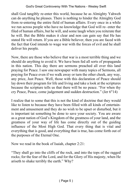shall God tangibly re-enter this world, because he as Almighty Yahweh can do anything he pleases. There is nothing to hinder the Almighty God from re-entering the entire field of human affairs. Every once in a while we run across people who have no knowledge that God will re- enter the filed of human affairs, but he will, and some laugh when you reiterate that he will. But the Bible makes it clear and non can gain say that He has stated He will return. If you are a Bible believer, then you are faced with the fact that God intends to wage war with the forces of evil and he shall deliver his people.

Now, there are those who believe that war is a most terrible thing and we should do anything to avoid it. We have been fed all sorts of propaganda in this nation. This day there are sermons preached all over this land praying for Peace. I saw one newspaper with many topics of Sermons, all praying for Peace even if we walk away or turn the other cheek, any way, any price, Just Peace. Well, those with this declaration of Peace should lay down their program for life and living and take a look at the scriptures because the scripture tells us that there will be no peace. "For when thy cry Peace, Peace, come judgement and sudden destruction." (Jer 6"14)

I realize that to some that this is not the kind of doctrine that they would like to listen to because they have been filled with all kinds of entertainment and amusement and they do no wish to be upset or disturbed, but it is important tat something be done to save your society. You are aware as a great nation of God's Kingdom of the greatness of your land, and the greatness of your way of life has come directly out of the guiding influence of the Most High God. That every thing that is vital and everything that is good, and everything that is true, has come forth out of the purposes of the Eternal One.

Now we read in the book of Isaiah, chapter 2:21:

"They shall go into the cliffs of the rock, and into the tops of the ragged rocks; for the fear of the Lord, and for the Glory of His majesty, when He ariseth to shake terribly the earth." Why?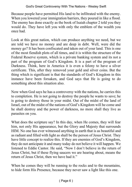Because people have permitted His land to be infiltrated with the enemy. When you lowered your immigration barriers, they poured in like a flood. The enemy has done exactly as the book of Isaiah chapter 2 told you they would do. They have left you with only the emblem of the wealth you once had.

Look at this great nation, which can produce anything we need, but we are told we have no money and are deep in debt. Well, were did the money go? It has been confiscated and taken out of your land. This is one of the most fiendish plots of all times, and it is within the structure of the Federal Reserve system, which is a private banking system and its not a part of the program of God's Kingdom. It is a part of the program of Darkness. Think, here in America it is even a felony to have a silver certificate. This, after they removed your gold and silver coins. But the thing which is significant is that the standards of God's Kingdom in this instance have been forsaken, and God says that He is going to do something about this situation also.

Now when God says he has a controversy with the nations, he carries this to completion. He is not going to destroy the people he wants to save; he is going to destroy those in your midst. Out of the midst of the land of Israel, out of the midst of the nations of God's Kingdom will he come and he shall destroy and the power of darkness, no more shall they live as parasites on you.

What does the scripture say? In this day, when He comes, they will fear him, not only His appearance, but the Glory and Majesty that surrounds HIM. No one has ever witnessed anything in earth that is as beautiful and as radiant and filled with light as shall be the person of Jesus Christ. They have little concept to realize this. If they are enemies of God's Kingdom, they do not anticipate it and many today do not believe it will happen. We listened to Eddie Cantor. He said, "Now I don't believe in the return of Jesus Christ, but if these flying saucers we are hearing about, means the return of Jesus Christ, then we have had it."

When he comes they will be running to the rocks and to the mountains, to hide form His Presence, because they never saw a light like this one.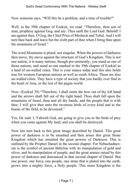Now someone says, "Will this be a problem, and a time of trouble?"

Well, in the 39th chapter of Ezekiel, we read: "Therefore, thou son of man, prophesy against Gog, and say: Thus saith the Lord God: Behold! I am against thee, O Gog, the Chief Price of Mesheck and Tubal. And I will turn thee back and leave but the sixth part of thee when I bring thee upon the mountains of Israel."

The word Mountains is plural, not singular. When the powers of darkness then move, thy move against the structure of God's Kingdom. This is not one nation, it is many nations; though pre-eminently, you stand as one of those nations, and stand as one marked in the 39th chapter of Ezekiel as a land of un-walled cities. This is your stance today and this also holds true for western European nations as well as south Africa. These are also un-walled cities. They have a type of society that you hardly ever find in the heart of Asia, or the rest of the pagan world.

Now: (Ezekiel 39) "Therefore, I shall smite the bow out of thy left hand and the arrows shall fall out of thy right hand. Thou shalt fall upon the mountains of Israel, thou and all thy bands, and the people that is with thee: I will give thee unto the ravenous birds of every kind and to the beasts of the field, to be devoured."

Yes, He said: I, Yahweh God, am going to give you to the birds of prey when you come against My land, and you shall be destroyed.

Now lets turn back to this great image described by Daniel. This great power of darkness is to be smashed and then arises this great Stone Kingdom which has smashed the great powers of Darkness. This is outlined by the Prophet Daniel in the second chapter. For Nebuchadnezzar is the symbol of ancient Babylon with its manipulation of gold and silver, and its manipulation of people, and the great armies raised by this power of darkness and denounced in that second chapter of Daniel. But one power, one force, one people, one stone that is plated into the earth, grows into a mighty force, a Holy people. This stone Kingdom is the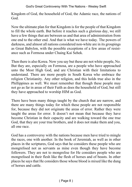Kingdom of God, the household of God, the Adamic race, the nations of God.

Now the ultimate plan for that Kingdom is for the people of that Kingdom to fill the whole earth. But before it reaches such a glorious day, we still have a few things that are between us and that area of administration from one end to the other end. And that is what we have today. The powers of darkness, and almost all nations considered non-white are in its groupings as Great Babylon, with the possible exceptions of a few areas of resistance such as Formosa under Chaing Kai Sehek.

Then there is also Korea. Now you say but these are not white people, No. But they are, especially on Formosa, are a people who have approached unto the Most High God, and are Christian with their limitations to understand. There are more people in South Korea who embrace the religion Christianity. Any other religion, and this holds true also in the Phillippines as well. We must remember that though these people may not go as far in areas of their Faith as does the household of God, but still they have approached to worship HIM as God.

There have been many things taught by the church that are narrow, and there are many things today for which these people are not responsible for, because they did not originate the areas of error. Rather they were taught the areas for error. It doesn't not mean that because they have become Christian in their capacity and are walking toward the one true God, that they are your true brothers, and it does not make them and you, all one race.

God has a controversy with the nations because men have tried to mingle the races, one with another. In the book of Jeremiah, as well as in other places in the scriptures, God says that he considers these people who are mongrelised not as servants as mine even though they have become followers. They are not to mongrelise for He considers people who are mongrelised in their flesh like the flesh of horses and of beasts. In other places he says that He considers those whose blood is mixed like the dung of horses and cattle.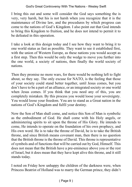I bring this out and some will consider the God says something the is very, very harsh, but his is not harsh when you recognize that it is the maintenance of Divine law, and the procedures by which progress can come to the nations of God's Kingdom. I also point out that God intends to bring this Kingdom to fruition, and he does not intend to permit it to be defeated in this operation.

I take a look at this design today and I see how they want to bring it to one world status as fast as possible. They want to see it established first, with the union of Western Europe, as these nations you would accept as a first step. Then this would be only the wedge to move you further into the one world, a society of nations, then finally the world society of nations.

Then they promise no more wars, for there would be nothing left to fight about, so they say. The only excuse for NATO, is the feeling that those of your society could stand better together, until Jesus comes, but you don't have to be a part of an alliance, or an integrated society or one world when Jesus comes. If you think that you need any of this, you are completely mistaken. By this process you would loose your sovereignty. You would loose your freedom. You are to stand as a Great nation in the nations of God's Kingdom and fulfil your destiny.

Now the Son of Man shall come, and notice this Son of Man is symbolic as the embodiment of God. He shall come with his Holy angels, or administering spirits to sit upon the throne of His Glory. He intends to come, He intends to operate on the foundation of his own prophecy, and His own word. He is to take the throne of David, he is to take the British throne, and since British means covenant man, then there is no question that the British throne is the throne of David. This throne is representative of symbols and of functions that will be carried out by God, Himself. This does not mean that the British have a pre-eminence above you or the rest of Israel, but it does mean that they have kept alive this throne, and it still stands today.

I noted on Friday how unhappy the children of the darkness were, when Princess Beatrist of Holland was to marry the German prince, they didn't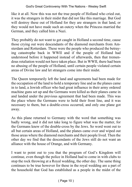like it at all. Now this was not the true people of Holland who cried out, it was the strangers in their midst that did not like this marriage. But God will destroy these out of Holland for they are strangers in that land, or they would not have made such an outcry when the Princess married the German, and they called him a Nazi.

They probably do not want to get caught in Holland a second time, cause those crying out were descendants of the diamond merchants from Amsterdam and Rotterdam. These were the people who produced the betraying catastrophe back in WWII and if the people of Holland had understood before it happened instead of afterwards, then that tremendous retaliation would not have taken place. But in WWII, there had been no abusing of the people of Holland, until certain people violated certain areas of Divine law and let strangers come into their midst.

The Queen temporarily left the land and agreements had been made for the occupation of the land to hold a temporary line and as the planes came in to land, a Jewish officer who had great influence in their army ordered machine guns set up and the Germans were killed as their planes came in and landed under the previous agreement that had been made. This was the place where the Germans were to hold their front line, and it was necessary to them, but a double-cross occurred, and only one plane got away.

As this plane returned to Germany with the word that something was badly wrong, and it did not take long to figure what was the matter, for the Germans knew of the double-cross by the Jews. So word went out to all but certain areas of Holland, and the planes came over and wiped out those areas where the diamond merchants and their people lived. Then the other day we find that the descendants of the Jews still do not want an alliance with the house of Orange, and with Germany.

I want to point out to you that the program of God's Kingdom will continue, even though the police in Holland had to come in with clubs to stop the rock throwing at a Royal wedding, the other day. The same thing continues to be true however for these in the royal wedding are a part of the household that God has established as a people in the midst of the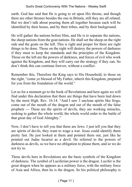earth. God has said that He is going to sit upon His throne, and though there are other thrones besides the one in Britain, still they are all related. But we don't talk about pouring them all together because each will be identified by their house, and by their tribes, and by their background.

He will gather the nations before Him, and He is to separate the nations, the sheep nations from the goat nations. He shall set the sheep on the right side and the goats on the left. This is right and proper for there are right things to be done. Those on the right will destroy the powers of darkness if they must to keep the standards and the principles of the Kingdom. Those on the left are the powers of darkness, and forces of evil who work against the Kingdom, and they will carry out the strategy if they can. So don't think this can continue forever, without a conflict.

Remember this, Therefore the King says to His Household, to those on the right, "come ye blessed of My Father, inherit this Kingdom, prepared for you from the foundation of the world."

Let us for a moment go to the book of Revelations and here again we will find under this declaration that there are things that have been laid down by the most High. Rev. 16:14. "And I saw 3 unclean spirits like frogs, come out of the mouth of the dragon and out of the mouth of the false prophets --- These are the spirits of devils, they are working miracles, seeking to gather the whole world, the whole world order to the battle of that great day of God Almighty."

Now, I don't have to tell you that these are Jews. I just tell you that they are spirits of devils, they want to wage a war. Jesus could identify them pretty fast. He just looked at them and pointed them out, just like he pointed out Judas Iscariot as a devil. He referred to the powers of darkness as devils, so we have no obligation to please them, and so we do not try to.

These devils here in Revelations are the basic symbols of the Kingdom of darkness. The symbol of Luciferian power is the dragon. Lucifer is the great dragon when he appears as a military force, with the military force of Asia and Africa, then he is the dragon. So his political philosophy is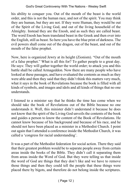his ability to conquer you. Out of the mouth of the beast is the world order, and this is not the human race, and not of the spirit. You may think they are human, but they are not. If they were Human, they would be out of the Spirit of the Living God, and out of the living household of the Almighty. Instead they are the Enosh, and as such they are called beast. The word Enosh has been translated beast in the Greek and then over into the English, still as beast. So here you have the blue print of darkness. The evil powers shall come out of the dragon, out of the beast, and out of the mouth of the false prophet.

Now, here is organized Jewry at its height (Zionism). "Out of the mouth of a false prophet." What is all this for? To gather people to a great day. He says: They will gather together the world order; to attack you and this battle shall be called Armageddon. Now there are many people who have looked at these passages, and have evaluated the contents as much as they were able and then they said that they didn't think this matters very much, what it says in the book of Revelations because the book is filled with all kinds of symbols, and images and idols and all kinds of things that no one understands.

I listened to a minister say that he thinks the time has come when we should take the book of Revelations out of the Bible because no one understands it. Well, this minister didn't understand it because he does not know that the spirit of the Living God unveils the contents of the book and guides a person to know the content of the Book of Revelations. He cannot know because of his background and because of his race, and he should not have been placed as a minister in a Methodist Church. I point out again that I attended a conference inside the Methodist Church, it was called a 'congress for racial understanding'.

It was a part of the Methodist federation for social action. There they said that their greatest problem would be to separate people away from certain areas inside the books of the Bible. They didn't call it separating them from areas inside the Word of God. But they were telling us that inside the word of God are things that they don't like and we have to remove those things and then they could tell the people that these things were placed there by bigots, and therefore do not belong inside the scriptures.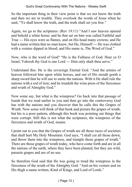So the important thing in their view point is that we not know the truth and then we are in trouble. They overlook the words of Jesus when he said, "Ye shall know the truth, and the truth shall set you free."

Again, we go to the scriptures: (Rev 19:11) "And I saw heaven opened and behold a white horse; and he that sat on him was called Faithful and True --- His eyes were as flames, and on His head many crowns; and He had a name written that no man knew, but He, Himself --- He was clothed with a vesture dipped in blood; and His name is, The Word of God."

Now, who is the word of God? "He is the Fullness of God. Hear ye O Israel, Yahweh thy God is one Lord --- Him only shalt thou serve."

Understand this: He is the sovereign Eternal God. "And the armies of heaven followed him upon white horses, and out of His mouth goeth a sharp sword that he will use to smite the nations. With it He shall rule the nations with a rod of iron; and he treadeth the wine press of the fierceness and wrath of Almighty God."

Now some say, but what is the winepress? Go back into that passage of Isaiah that we read earlier to you and then go into the controversy God has with the nations and you discover that he calls this the Grapes of Wrath. Now some will think of that book and picture the grapes of wrath, but his is a poor pattern, although this book was pointing out things that were corrupt. Still this is not what the scriptures, the winepress of the fierceness and wrath of God, means.

I point out to you that the Grapes of wrath are all those races of societies that shall hurt My Holy Mountain. God says, "I shall cut all those down, and throw them into the winepress, and trample those grapes of wrath." There are those grapes of wrath today, who have come forth and are in all the nations of the earth, where they have been planted, but they are wild, parasite grapes and are of no use.

So therefore God said that He was going to tread the winepress in the fierceness of the wrath of the Almighty God. "And on his vesture and on His thigh a name written, Kind of Kings, and Lord of Lords."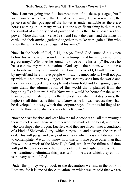Now I am not going into full interpretation of all these passages, but I want you to see clearly that Christ is returning, He is re-entering the processes of this passage of the horses is understandable as there are horses coming in, in many ways. But the significant thing is that this is the symbol of authority and of power and Jesus the Christ possesses this power. More than this, (verse 19) "And I saw the beast, and the kings of earth, and their armies, gathered together to make war against Him who sat on the white horse, and against his army."

Now, in the book of Joel, 2:11, it says, "And God sounded his voice before his army, and it sounded like a trumpet and his army came forth, a great army." Why does he sound his voice before his army? Because he has a controversy with the nations. God says, "the nations will not have me to rule over my own world. But I own this World, I built this world by myself and here I have people who say I cannot rule it. I will not put up with this situation any longer. I have sent my sons into the world and they have developed into a people and a household and I am going to give unto them, the administration of this world that I planned from the beginning." (Matthew 21:43) Now what would be better for the world than to be administered to, by the Highest. For when that day comes, the highest shall think as he thinks and know as he knows, because they shall be developed in a way which the scripture says, "In the twinkling of an eye, into those who shall know as he is Known."

Now the beast is taken and with him the false prophet and all that wrought their miracles, and those who received the mark of the beast, and those who worshiped the dragon, Lucifer. And they are thrown into a condition of a kind of Shekinah Glory, which purges out, and destroys the areas of evil. This will purge and carry out in an area which you and I do not have to contemplate. We do not know how this will take place other than that this will be a work of the Most High God, which in the fullness of time will put the darkness into the fullness of light, and righteousness. But in the meantime to eliminate this parasite from the areas which they control is the very work of God.

Under this policy we go back to the declaration we find in the book of Romans, for it is one of those situations in which we are told that we are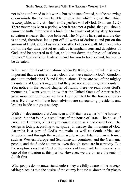not to be conformed to this world, but to be transformed, but the renewing of our minds, that we may be able to prove that which is good, that which is acceptable, and that which is the perfect will of God. (Romans 12:2) There never has been a period when it was not a point, that you should know the truth. "For now it is high time to awake out of thy sleep for now salvation is nearer than you believed. The Night is far spent and the day is at hand, therefore, let us put off all works of darkness and put on the armour of Light, and let us walk honestly. Let us not walk like those who riot in the day time, but let us walk as triumphant sons and daughters of God. And be prepared to defeat, and to put down the forces of darkness, forever." God calls for leadership and for you to take a stand, but not to be defeated.

When we talk about the nations of God's Kingdom, I think it is very important that we make it very clear, that these nations God's Kingdom are not to include the US and Britain, alone. These are two of the mighty mountains of God's Kingdom, but they are not all of his great mountain. You notice in the second chapter of Isaiah, there we read about God's mountains. I want you to know that the United States of America is a great mountain but today we have been polluted by the forces of darkness. By those who have been advisors are surrounding presidents and leaders inside our great society.

With this declaration that American and Britain are a part of the house of Joseph, but that is only a small part of the house of Israel. The house of Israel are 12 tribes, or 13 if you count Joseph as 2 and count Levi. The design is today, according to scripture, to destroy the mountain of God. Australia is a part of God's mountain as well as South Africa and Rhodesia, and through the western world where Adamic man is found, such as Western Europe and Scandinavian countries, and the Germanic people, and the Slavic countries, even though some are in captivity. But the scripture says that 1/3rd of the nations of Israel will be in captivity as one of the situation at this period. However, we are to save the tents of Judah first.

What people do not understand, unless they are fully aware of the strategy taking place, is that the desire of the enemy is to tie us down in far places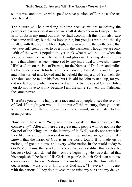so that we cannot move with speed to save portions of Europe as the red hoards strike.

The picture will be surprising to some because we are to destroy the powers of darkness in Asia and we shall destroy them in Europe. There is no doubt in my mind but that we shall accomplish this. I am also sure that some will say, but this is impossible, but you just wait until the sky is filled with fleets of the Most High, as he moves into the earth to see that we have sufficient power to overthrow the darkness. Though we are only 1/6th of the worlds population, yet think what it will be like when the leader of your race will be radiant and glorious. His majesty shall outshine that which has been witnessed by any individual and we shall know HIM, as John on the isle of Patmos, for the Names of The Lord and exiled by the Jews, knew. John heard a voice saying, I am Alpha and Omega, and John turned and looked and he beheld the majesty of Yahweh, thy Yahshua, and he fell on his face, but HE said for John to stand up, for you did not fall before when you walked with me by the sea of Galilee. John, you do not have to worry because I am the same Yahweh, thy Yahshua, the same power.

Therefore you will be happy as a race and as a people to see the re-entry of God. If tonight you would like to put off this re-entry, then you need to be renewed in the consciousness of your mind, and adjusted to this great pattern.

Now some have said, "why would you speak on this subject, of the controversy?" After all, there are a great many people who do not like the Gospel of the Kingdom or the identity of it. Well, we do not care what they like, we are only interested in one thing, and we are going to make known that the Israel of God is in the world today. It is made up of nations, of great nations, and every white nation in the world today is God's Mountains, the Israel of this bible. We can establish this so clearly, because God has ordained this from the beginning. He has ordained that his people shall be found. His Christian people, in their Christian nations, companies of Christian Nations in the midst of the earth. Thus with this declaration, I want you to know that God says: "I have a Controversy with the nations." They do not wish me to raise my sons and my daugh-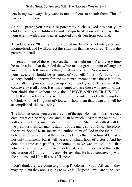ters in my own way, they want to mutate them, to absorb them. Thus, I have a controversy.

So as a parent you have a responsibility such as God has that your children and grandchildren be not mongrelised. You job is to see that your enemy with these ideas is exposed and driven from you land.

Then God says: "It is my job to see that my family is not integrated and mongrelised, and I will correct this situation that has occurred. This is the pattern in detail.

I listened to one of these speakers the other night on TV and every time he made a joke that degraded the white man, a great amount of laughter arose. Let me tell you something, anytime you let a Negro make fun of your race, you should be ashamed of yourself. Your TV, radio, your society should not permit for one moment someone to use these facilities for an attack upon your race, or upon your background. This is what the controversy is all about. It is this attempt to place those who are not of his household, those without the vision, ABOVE AND OVER HIS PEO-PLE. It is the refusal of the world order to be ruled over by the Kingdom of God. And the Kingdom of God will show them that it can and will be accomplished, this is destiny.

The hour has come, you are in the end of the age. No man knows the exact date, but it can be very close and it can be much closer than you think. It will come with the manifestation of the Son of Man, and with it will be the previously shown manifestations of the many sons of God. Therefore, the word, Son of Man, means the embodiment of God in the flesh. So I believe and I am sure that the scriptures tell us that the return of Christ is not only imminent, but it will be a triumphant hour of victory. And he does not come as a pacifist, he comes to make war on evil, until that which is evil has been destroyed, defeated, or surrenders. And this is the declaration of God's controversy. He says that He has a controversy with the nations, and He will assist His people.

I don't think they are going to grind up Rhodesia or South Africa, oh they may try it, but they aren't going to make it. The people who are to be used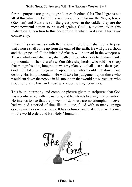for this purpose are going to grind up each other. (Ha) The Negro is not all of this situation, behind the scene are those who use the Negro, Jewry (Zionism) and Russia is still the great power in the saddle, they are the most powerful nation to be used against God's Kingdom. With this realization, I then turn to this declaration in which God says: This is my controversy.

I Have this controversy with the nations, therefore it shall come to pass that a noise shall come up from the ends of the earth. He will give a shout and the grapes of all the inhabited places will be tread in the winepress. Then a whirlwind shall rise, shall gather those who work to destroy inside my mountain. Then therefore; You false shepherds, who told the sheep that mongrelisation, integration was my plan, you shall also be destroyed. God will take his judgement upon those who would cut down, and destroy His Holy mountain. He will take his judgement upon those who would cut down the people in his mountain that would not surrender, who stood for divine law, and those who stood for righteousness.

This is an interesting and complete picture given in scriptures that God has a controversy with the nations, and he intends to bring this to fruition. He intends to see that the powers of darkness are no triumphant. Never had we had a period of time like this one, filled with so many strange developments as we see today. It has a climax, and that climax will come, for the world order, and His Holy Mountain.

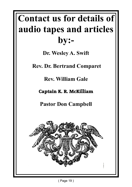# **Contact us for details of audio tapes and articles by:-**

**Dr. Wesley A. Swift**

 **Rev. Dr. Bertrand Comparet**

**Rev. William Gale**

**Captain K. R. McKilliam**

**Pastor Don Campbell**